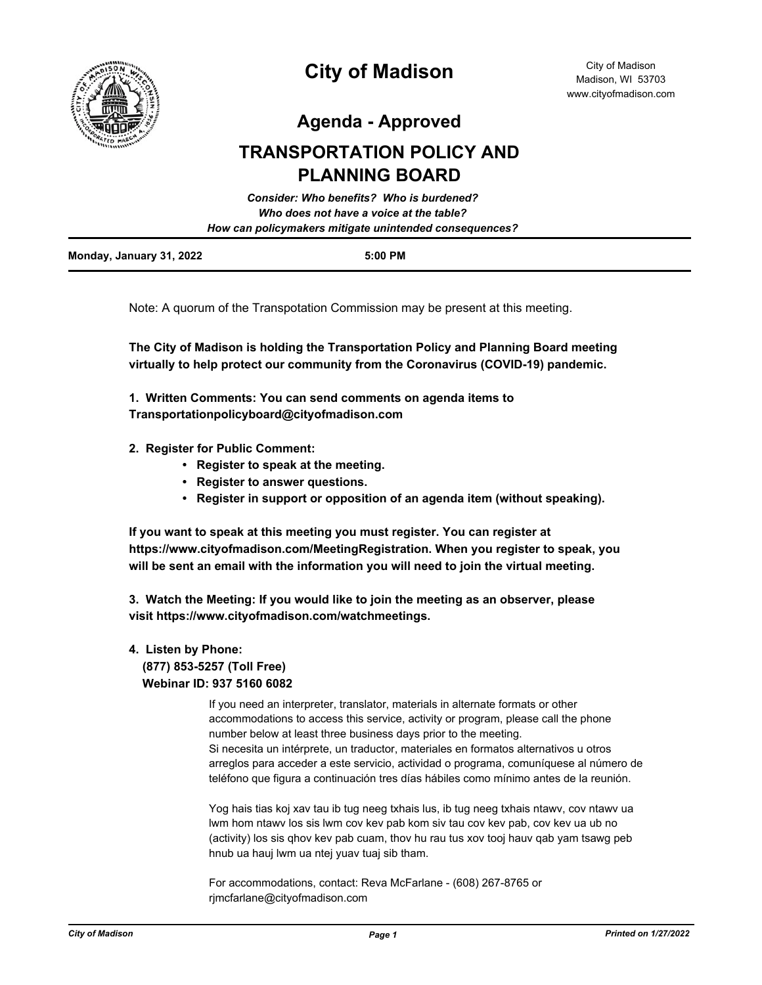

# **City of Madison**

**Agenda - Approved**

# **TRANSPORTATION POLICY AND PLANNING BOARD**

|                                                                                                   | Consider: Who benefits? Who is burdened? |  |
|---------------------------------------------------------------------------------------------------|------------------------------------------|--|
| Who does not have a voice at the table?<br>How can policymakers mitigate unintended consequences? |                                          |  |
|                                                                                                   |                                          |  |

Note: A quorum of the Transpotation Commission may be present at this meeting.

**The City of Madison is holding the Transportation Policy and Planning Board meeting virtually to help protect our community from the Coronavirus (COVID-19) pandemic.**

**1. Written Comments: You can send comments on agenda items to Transportationpolicyboard@cityofmadison.com**

- **2. Register for Public Comment:** 
	- **Register to speak at the meeting.**
	- **Register to answer questions.**
	- **Register in support or opposition of an agenda item (without speaking).**

**If you want to speak at this meeting you must register. You can register at https://www.cityofmadison.com/MeetingRegistration. When you register to speak, you will be sent an email with the information you will need to join the virtual meeting.**

**3. Watch the Meeting: If you would like to join the meeting as an observer, please visit https://www.cityofmadison.com/watchmeetings.**

### **4. Listen by Phone: (877) 853-5257 (Toll Free) Webinar ID: 937 5160 6082**

If you need an interpreter, translator, materials in alternate formats or other accommodations to access this service, activity or program, please call the phone number below at least three business days prior to the meeting. Si necesita un intérprete, un traductor, materiales en formatos alternativos u otros arreglos para acceder a este servicio, actividad o programa, comuníquese al número de teléfono que figura a continuación tres días hábiles como mínimo antes de la reunión.

Yog hais tias koj xav tau ib tug neeg txhais lus, ib tug neeg txhais ntawv, cov ntawv ua lwm hom ntawv los sis lwm cov kev pab kom siv tau cov kev pab, cov kev ua ub no (activity) los sis qhov kev pab cuam, thov hu rau tus xov tooj hauv qab yam tsawg peb hnub ua hauj lwm ua ntej yuav tuaj sib tham.

For accommodations, contact: Reva McFarlane - (608) 267-8765 or rjmcfarlane@cityofmadison.com